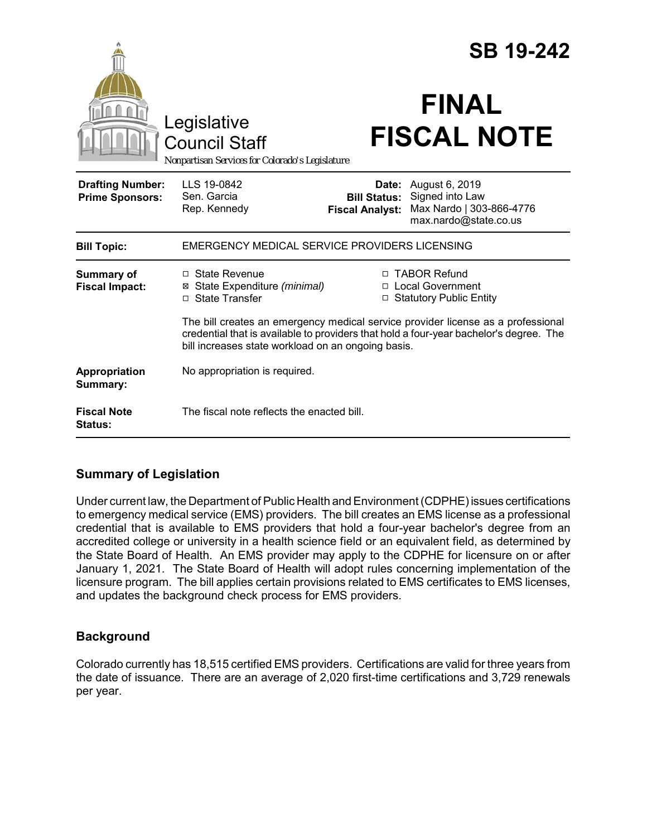|                                                   |                                                                                                                                                                                                                                  | <b>SB 19-242</b>                                                                                                                                     |  |
|---------------------------------------------------|----------------------------------------------------------------------------------------------------------------------------------------------------------------------------------------------------------------------------------|------------------------------------------------------------------------------------------------------------------------------------------------------|--|
|                                                   | Legislative<br><b>Council Staff</b><br>Nonpartisan Services for Colorado's Legislature                                                                                                                                           | <b>FINAL</b><br><b>FISCAL NOTE</b>                                                                                                                   |  |
| <b>Drafting Number:</b><br><b>Prime Sponsors:</b> | LLS 19-0842<br>Sen. Garcia<br>Rep. Kennedy                                                                                                                                                                                       | <b>Date:</b> August 6, 2019<br>Signed into Law<br><b>Bill Status:</b><br>Max Nardo   303-866-4776<br><b>Fiscal Analyst:</b><br>max.nardo@state.co.us |  |
| <b>Bill Topic:</b>                                | EMERGENCY MEDICAL SERVICE PROVIDERS LICENSING                                                                                                                                                                                    |                                                                                                                                                      |  |
| <b>Summary of</b><br><b>Fiscal Impact:</b>        | $\Box$ State Revenue<br>⊠ State Expenditure (minimal)<br>□ State Transfer                                                                                                                                                        | □ TABOR Refund<br>□ Local Government<br>□ Statutory Public Entity                                                                                    |  |
|                                                   | The bill creates an emergency medical service provider license as a professional<br>credential that is available to providers that hold a four-year bachelor's degree. The<br>bill increases state workload on an ongoing basis. |                                                                                                                                                      |  |
| Appropriation<br>Summary:                         | No appropriation is required.                                                                                                                                                                                                    |                                                                                                                                                      |  |
| <b>Fiscal Note</b><br><b>Status:</b>              | The fiscal note reflects the enacted bill.                                                                                                                                                                                       |                                                                                                                                                      |  |

# **Summary of Legislation**

Under current law, the Department of Public Health and Environment (CDPHE) issues certifications to emergency medical service (EMS) providers. The bill creates an EMS license as a professional credential that is available to EMS providers that hold a four-year bachelor's degree from an accredited college or university in a health science field or an equivalent field, as determined by the State Board of Health. An EMS provider may apply to the CDPHE for licensure on or after January 1, 2021. The State Board of Health will adopt rules concerning implementation of the licensure program. The bill applies certain provisions related to EMS certificates to EMS licenses, and updates the background check process for EMS providers.

# **Background**

Colorado currently has 18,515 certified EMS providers. Certifications are valid for three years from the date of issuance. There are an average of 2,020 first-time certifications and 3,729 renewals per year.